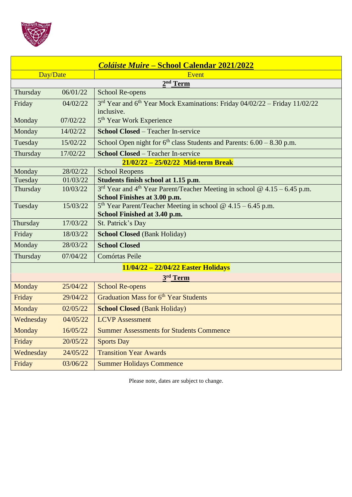

| <b>Coláiste Muire – School Calendar 2021/2022</b> |          |                                                                                                                         |  |  |
|---------------------------------------------------|----------|-------------------------------------------------------------------------------------------------------------------------|--|--|
| Day/Date                                          |          | Event                                                                                                                   |  |  |
| 2 <sup>nd</sup> Term                              |          |                                                                                                                         |  |  |
| Thursday                                          | 06/01/22 | School Re-opens                                                                                                         |  |  |
| Friday                                            | 04/02/22 | 3rd Year and 6th Year Mock Examinations: Friday 04/02/22 – Friday 11/02/22<br>inclusive.                                |  |  |
| Monday                                            | 07/02/22 | 5 <sup>th</sup> Year Work Experience                                                                                    |  |  |
| Monday                                            | 14/02/22 | <b>School Closed – Teacher In-service</b>                                                                               |  |  |
| Tuesday                                           | 15/02/22 | School Open night for $6th$ class Students and Parents: $6.00 - 8.30$ p.m.                                              |  |  |
| Thursday                                          | 17/02/22 | <b>School Closed – Teacher In-service</b>                                                                               |  |  |
| 21/02/22 - 25/02/22 Mid-term Break                |          |                                                                                                                         |  |  |
| Monday                                            | 28/02/22 | <b>School Reopens</b>                                                                                                   |  |  |
| Tuesday                                           | 01/03/22 | Students finish school at 1.15 p.m.                                                                                     |  |  |
| Thursday                                          | 10/03/22 | $3rd$ Year and 4 <sup>th</sup> Year Parent/Teacher Meeting in school @ 4.15 - 6.45 p.m.<br>School Finishes at 3.00 p.m. |  |  |
| Tuesday                                           | 15/03/22 | $5th$ Year Parent/Teacher Meeting in school @ 4.15 – 6.45 p.m.<br>School Finished at 3.40 p.m.                          |  |  |
| Thursday                                          | 17/03/22 | St. Patrick's Day                                                                                                       |  |  |
| Friday                                            | 18/03/22 | <b>School Closed (Bank Holiday)</b>                                                                                     |  |  |
| Monday                                            | 28/03/22 | <b>School Closed</b>                                                                                                    |  |  |
| Thursday                                          | 07/04/22 | Comórtas Peile                                                                                                          |  |  |
| 11/04/22 - 22/04/22 Easter Holidays               |          |                                                                                                                         |  |  |
| 3rd Term                                          |          |                                                                                                                         |  |  |
| Monday                                            | 25/04/22 | <b>School Re-opens</b>                                                                                                  |  |  |
| Friday                                            | 29/04/22 | Graduation Mass for 6 <sup>th</sup> Year Students                                                                       |  |  |
| Monday                                            | 02/05/22 | <b>School Closed (Bank Holiday)</b>                                                                                     |  |  |
| Wednesday                                         | 04/05/22 | <b>LCVP</b> Assessment                                                                                                  |  |  |
| Monday                                            | 16/05/22 | <b>Summer Assessments for Students Commence</b>                                                                         |  |  |
| Friday                                            | 20/05/22 | <b>Sports Day</b>                                                                                                       |  |  |
| Wednesday                                         | 24/05/22 | <b>Transition Year Awards</b>                                                                                           |  |  |
| Friday                                            | 03/06/22 | <b>Summer Holidays Commence</b>                                                                                         |  |  |

Please note, dates are subject to change.